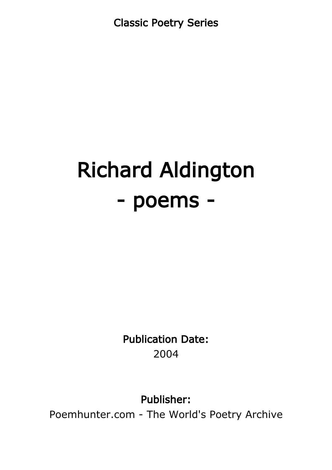Classic Poetry Series

# Richard Aldington - poems -

Publication Date: 2004

Publisher:

Poemhunter.com - The World's Poetry Archive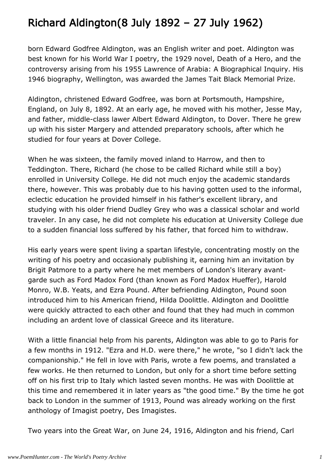# Richard Aldington(8 July 1892 – 27 July 1962)

born Edward Godfree Aldington, was an English writer and poet. Aldington was best known for his World War I poetry, the 1929 novel, Death of a Hero, and the controversy arising from his 1955 Lawrence of Arabia: A Biographical Inquiry. His 1946 biography, Wellington, was awarded the James Tait Black Memorial Prize.

Aldington, christened Edward Godfree, was born at Portsmouth, Hampshire, England, on July 8, 1892. At an early age, he moved with his mother, Jesse May, and father, middle-class lawer Albert Edward Aldington, to Dover. There he grew up with his sister Margery and attended preparatory schools, after which he studied for four years at Dover College.

When he was sixteen, the family moved inland to Harrow, and then to Teddington. There, Richard (he chose to be called Richard while still a boy) enrolled in University College. He did not much enjoy the academic standards there, however. This was probably due to his having gotten used to the informal, eclectic education he provided himself in his father's excellent library, and studying with his older friend Dudley Grey who was a classical scholar and world traveler. In any case, he did not complete his education at University College due to a sudden financial loss suffered by his father, that forced him to withdraw.

His early years were spent living a spartan lifestyle, concentrating mostly on the writing of his poetry and occasionaly publishing it, earning him an invitation by Brigit Patmore to a party where he met members of London's literary avantgarde such as Ford Madox Ford (than known as Ford Madox Hueffer), Harold Monro, W.B. Yeats, and Ezra Pound. After befriending Aldington, Pound soon introduced him to his American friend, Hilda Doolittle. Aldington and Doolittle were quickly attracted to each other and found that they had much in common including an ardent love of classical Greece and its literature.

With a little financial help from his parents, Aldington was able to go to Paris for a few months in 1912. "Ezra and H.D. were there," he wrote, "so I didn't lack the companionship." He fell in love with Paris, wrote a few poems, and translated a few works. He then returned to London, but only for a short time before setting off on his first trip to Italy which lasted seven months. He was with Doolittle at this time and remembered it in later years as "the good time." By the time he got back to London in the summer of 1913, Pound was already working on the first anthology of Imagist poetry, Des Imagistes.

Two years into the Great War, on June 24, 1916, Aldington and his friend, Carl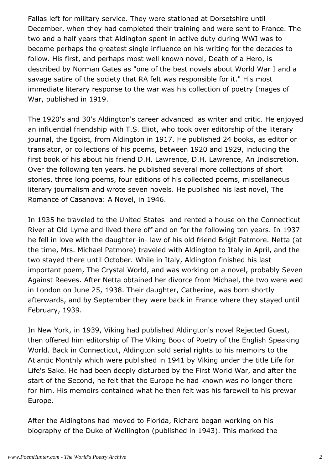Fallas left for military service. They were stationed at Dorsetshire until December, when they had completed their training and were sent to France. The two and a half years that Aldington spent in active duty during WWI was to become perhaps the greatest single influence on his writing for the decades to follow. His first, and perhaps most well known novel, Death of a Hero, is described by Norman Gates as "one of the best novels about World War I and a savage satire of the society that RA felt was responsible for it." His most immediate literary response to the war was his collection of poetry Images of War, published in 1919.

The 1920's and 30's Aldington's career advanced as writer and critic. He enjoyed an influential friendship with T.S. Eliot, who took over editorship of the literary journal, the Egoist, from Aldington in 1917. He published 24 books, as editor or translator, or collections of his poems, between 1920 and 1929, including the first book of his about his friend D.H. Lawrence, D.H. Lawrence, An Indiscretion. Over the following ten years, he published several more collections of short stories, three long poems, four editions of his collected poems, miscellaneous literary journalism and wrote seven novels. He published his last novel, The Romance of Casanova: A Novel, in 1946.

In 1935 he traveled to the United States and rented a house on the Connecticut River at Old Lyme and lived there off and on for the following ten years. In 1937 he fell in love with the daughter-in- law of his old friend Brigit Patmore. Netta (at the time, Mrs. Michael Patmore) traveled with Aldington to Italy in April, and the two stayed there until October. While in Italy, Aldington finished his last important poem, The Crystal World, and was working on a novel, probably Seven Against Reeves. After Netta obtained her divorce from Michael, the two were wed in London on June 25, 1938. Their daughter, Catherine, was born shortly afterwards, and by September they were back in France where they stayed until February, 1939.

In New York, in 1939, Viking had published Aldington's novel Rejected Guest, then offered him editorship of The Viking Book of Poetry of the English Speaking World. Back in Connecticut, Aldington sold serial rights to his memoirs to the Atlantic Monthly which were published in 1941 by Viking under the title Life for Life's Sake. He had been deeply disturbed by the First World War, and after the start of the Second, he felt that the Europe he had known was no longer there for him. His memoirs contained what he then felt was his farewell to his prewar Europe.

After the Aldingtons had moved to Florida, Richard began working on his biography of the Duke of Wellington (published in 1943). This marked the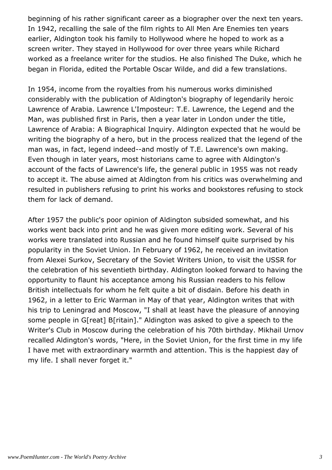beginning of his rather significant career as a biographer over the next ten years. In 1942, recalling the sale of the film rights to All Men Are Enemies ten years earlier, Aldington took his family to Hollywood where he hoped to work as a screen writer. They stayed in Hollywood for over three years while Richard worked as a freelance writer for the studios. He also finished The Duke, which he began in Florida, edited the Portable Oscar Wilde, and did a few translations.

In 1954, income from the royalties from his numerous works diminished considerably with the publication of Aldington's biography of legendarily heroic Lawrence of Arabia. Lawrence L'Imposteur: T.E. Lawrence, the Legend and the Man, was published first in Paris, then a year later in London under the title, Lawrence of Arabia: A Biographical Inquiry. Aldington expected that he would be writing the biography of a hero, but in the process realized that the legend of the man was, in fact, legend indeed--and mostly of T.E. Lawrence's own making. Even though in later years, most historians came to agree with Aldington's account of the facts of Lawrence's life, the general public in 1955 was not ready to accept it. The abuse aimed at Aldington from his critics was overwhelming and resulted in publishers refusing to print his works and bookstores refusing to stock them for lack of demand.

After 1957 the public's poor opinion of Aldington subsided somewhat, and his works went back into print and he was given more editing work. Several of his works were translated into Russian and he found himself quite surprised by his popularity in the Soviet Union. In February of 1962, he received an invitation from Alexei Surkov, Secretary of the Soviet Writers Union, to visit the USSR for the celebration of his seventieth birthday. Aldington looked forward to having the opportunity to flaunt his acceptance among his Russian readers to his fellow British intellectuals for whom he felt quite a bit of disdain. Before his death in 1962, in a letter to Eric Warman in May of that year, Aldington writes that with his trip to Leningrad and Moscow, "I shall at least have the pleasure of annoying some people in G[reat] B[ritain]." Aldington was asked to give a speech to the Writer's Club in Moscow during the celebration of his 70th birthday. Mikhail Urnov recalled Aldington's words, "Here, in the Soviet Union, for the first time in my life I have met with extraordinary warmth and attention. This is the happiest day of my life. I shall never forget it."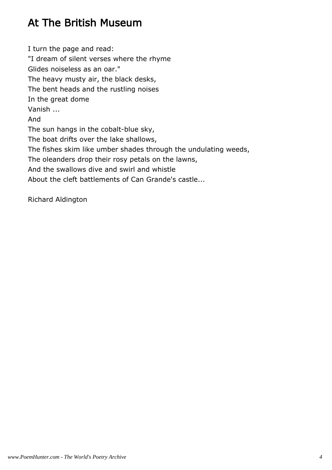# At The British Museum

I turn the page and read: "I dream of silent verses where the rhyme Glides noiseless as an oar." The heavy musty air, the black desks, The bent heads and the rustling noises In the great dome Vanish ... And The sun hangs in the cobalt-blue sky, The boat drifts over the lake shallows, The fishes skim like umber shades through the undulating weeds, The oleanders drop their rosy petals on the lawns, And the swallows dive and swirl and whistle About the cleft battlements of Can Grande's castle...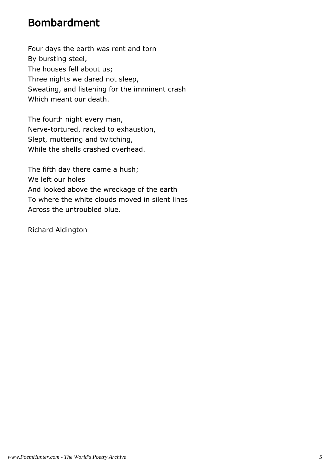### Bombardment

Four days the earth was rent and torn By bursting steel, The houses fell about us; Three nights we dared not sleep, Sweating, and listening for the imminent crash Which meant our death.

The fourth night every man, Nerve-tortured, racked to exhaustion, Slept, muttering and twitching, While the shells crashed overhead.

The fifth day there came a hush; We left our holes And looked above the wreckage of the earth To where the white clouds moved in silent lines Across the untroubled blue.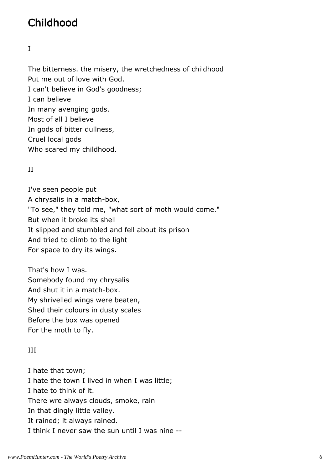## Childhood

I

The bitterness. the misery, the wretchedness of childhood Put me out of love with God. I can't believe in God's goodness; I can believe In many avenging gods. Most of all I believe In gods of bitter dullness, Cruel local gods Who scared my childhood.

#### II

I've seen people put A chrysalis in a match-box, "To see," they told me, "what sort of moth would come." But when it broke its shell It slipped and stumbled and fell about its prison And tried to climb to the light For space to dry its wings.

That's how I was. Somebody found my chrysalis And shut it in a match-box. My shrivelled wings were beaten, Shed their colours in dusty scales Before the box was opened For the moth to fly.

#### III

I hate that town; I hate the town I lived in when I was little; I hate to think of it. There wre always clouds, smoke, rain In that dingly little valley. It rained; it always rained. I think I never saw the sun until I was nine --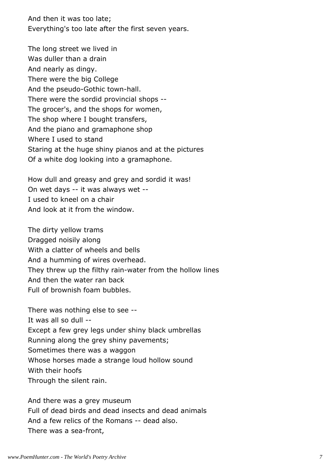And then it was too late; Everything's too late after the first seven years.

The long street we lived in Was duller than a drain And nearly as dingy. There were the big College And the pseudo-Gothic town-hall. There were the sordid provincial shops -- The grocer's, and the shops for women, The shop where I bought transfers, And the piano and gramaphone shop Where I used to stand Staring at the huge shiny pianos and at the pictures Of a white dog looking into a gramaphone.

How dull and greasy and grey and sordid it was! On wet days -- it was always wet -- I used to kneel on a chair And look at it from the window.

The dirty yellow trams Dragged noisily along With a clatter of wheels and bells And a humming of wires overhead. They threw up the filthy rain-water from the hollow lines And then the water ran back Full of brownish foam bubbles.

There was nothing else to see -- It was all so dull -- Except a few grey legs under shiny black umbrellas Running along the grey shiny pavements; Sometimes there was a waggon Whose horses made a strange loud hollow sound With their hoofs Through the silent rain.

And there was a grey museum Full of dead birds and dead insects and dead animals And a few relics of the Romans -- dead also. There was a sea-front,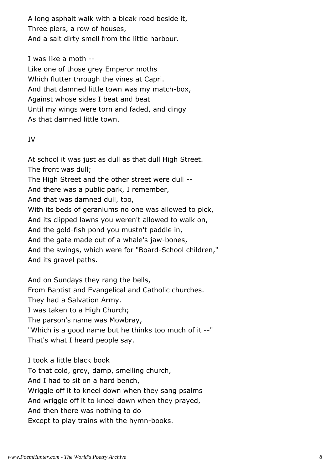A long asphalt walk with a bleak road beside it, Three piers, a row of houses, And a salt dirty smell from the little harbour.

I was like a moth --

Like one of those grey Emperor moths Which flutter through the vines at Capri. And that damned little town was my match-box, Against whose sides I beat and beat Until my wings were torn and faded, and dingy As that damned little town.

#### IV

At school it was just as dull as that dull High Street. The front was dull; The High Street and the other street were dull -- And there was a public park, I remember, And that was damned dull, too, With its beds of geraniums no one was allowed to pick, And its clipped lawns you weren't allowed to walk on, And the gold-fish pond you mustn't paddle in, And the gate made out of a whale's jaw-bones, And the swings, which were for "Board-School children," And its gravel paths.

And on Sundays they rang the bells, From Baptist and Evangelical and Catholic churches. They had a Salvation Army. I was taken to a High Church; The parson's name was Mowbray, "Which is a good name but he thinks too much of it --" That's what I heard people say.

I took a little black book To that cold, grey, damp, smelling church, And I had to sit on a hard bench, Wriggle off it to kneel down when they sang psalms And wriggle off it to kneel down when they prayed, And then there was nothing to do Except to play trains with the hymn-books.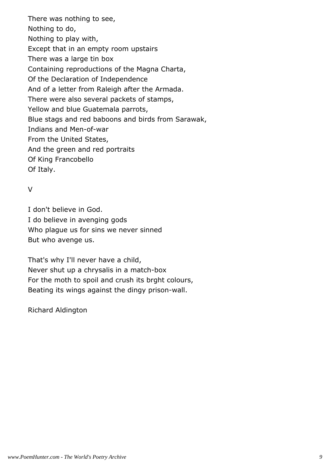There was nothing to see, Nothing to do, Nothing to play with, Except that in an empty room upstairs There was a large tin box Containing reproductions of the Magna Charta, Of the Declaration of Independence And of a letter from Raleigh after the Armada. There were also several packets of stamps, Yellow and blue Guatemala parrots, Blue stags and red baboons and birds from Sarawak, Indians and Men-of-war From the United States, And the green and red portraits Of King Francobello Of Italy.

#### V

I don't believe in God. I do believe in avenging gods Who plague us for sins we never sinned But who avenge us.

That's why I'll never have a child, Never shut up a chrysalis in a match-box For the moth to spoil and crush its brght colours, Beating its wings against the dingy prison-wall.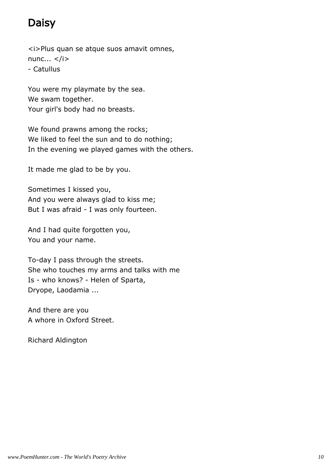# Daisy

<i>Plus quan se atque suos amavit omnes, nunc...  $\langle i \rangle$ - Catullus

You were my playmate by the sea. We swam together. Your girl's body had no breasts.

We found prawns among the rocks; We liked to feel the sun and to do nothing; In the evening we played games with the others.

It made me glad to be by you.

Sometimes I kissed you, And you were always glad to kiss me; But I was afraid - I was only fourteen.

And I had quite forgotten you, You and your name.

To-day I pass through the streets. She who touches my arms and talks with me Is - who knows? - Helen of Sparta, Dryope, Laodamia ...

And there are you A whore in Oxford Street.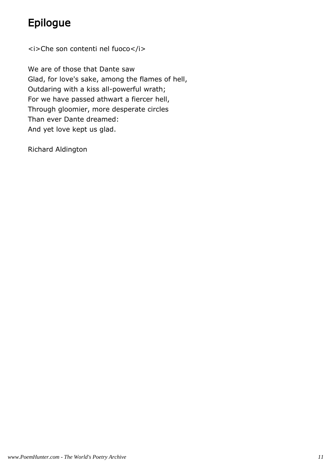# Epilogue

<i>Che son contenti nel fuoco</i>

We are of those that Dante saw Glad, for love's sake, among the flames of hell, Outdaring with a kiss all-powerful wrath; For we have passed athwart a fiercer hell, Through gloomier, more desperate circles Than ever Dante dreamed: And yet love kept us glad.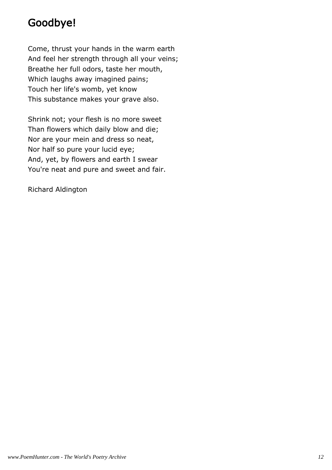### Goodbye!

Come, thrust your hands in the warm earth And feel her strength through all your veins; Breathe her full odors, taste her mouth, Which laughs away imagined pains; Touch her life's womb, yet know This substance makes your grave also.

Shrink not; your flesh is no more sweet Than flowers which daily blow and die; Nor are your mein and dress so neat, Nor half so pure your lucid eye; And, yet, by flowers and earth I swear You're neat and pure and sweet and fair.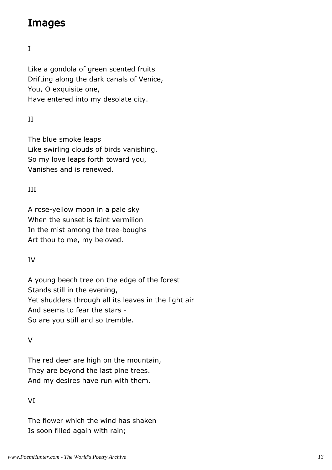### Images

I

Like a gondola of green scented fruits Drifting along the dark canals of Venice, You, O exquisite one, Have entered into my desolate city.

#### II

The blue smoke leaps Like swirling clouds of birds vanishing. So my love leaps forth toward you, Vanishes and is renewed.

#### III

A rose-yellow moon in a pale sky When the sunset is faint vermilion In the mist among the tree-boughs Art thou to me, my beloved.

#### IV

A young beech tree on the edge of the forest Stands still in the evening, Yet shudders through all its leaves in the light air And seems to fear the stars - So are you still and so tremble.

#### $\overline{V}$

The red deer are high on the mountain, They are beyond the last pine trees. And my desires have run with them.

#### VI

The flower which the wind has shaken Is soon filled again with rain;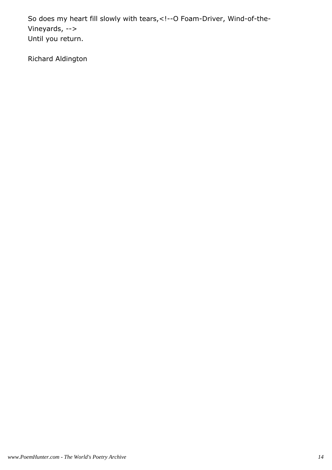So does my heart fill slowly with tears,<!--O Foam-Driver, Wind-of-the-Vineyards, --> Until you return.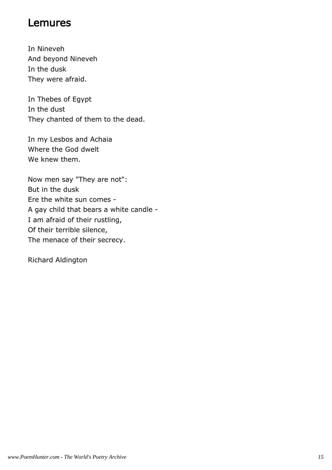### Lemures

In Nineveh And beyond Nineveh In the dusk They were afraid.

In Thebes of Egypt In the dust They chanted of them to the dead.

In my Lesbos and Achaia Where the God dwelt We knew them.

Now men say "They are not": But in the dusk Ere the white sun comes - A gay child that bears a white candle - I am afraid of their rustling, Of their terrible silence, The menace of their secrecy.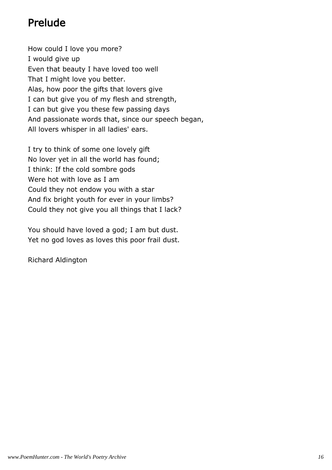### Prelude

How could I love you more? I would give up Even that beauty I have loved too well That I might love you better. Alas, how poor the gifts that lovers give I can but give you of my flesh and strength, I can but give you these few passing days And passionate words that, since our speech began, All lovers whisper in all ladies' ears.

I try to think of some one lovely gift No lover yet in all the world has found; I think: If the cold sombre gods Were hot with love as I am Could they not endow you with a star And fix bright youth for ever in your limbs? Could they not give you all things that I lack?

You should have loved a god; I am but dust. Yet no god loves as loves this poor frail dust.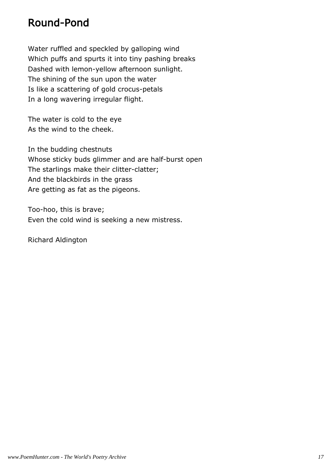### Round-Pond

Water ruffled and speckled by galloping wind Which puffs and spurts it into tiny pashing breaks Dashed with lemon-yellow afternoon sunlight. The shining of the sun upon the water Is like a scattering of gold crocus-petals In a long wavering irregular flight.

The water is cold to the eye As the wind to the cheek.

In the budding chestnuts Whose sticky buds glimmer and are half-burst open The starlings make their clitter-clatter; And the blackbirds in the grass Are getting as fat as the pigeons.

Too-hoo, this is brave; Even the cold wind is seeking a new mistress.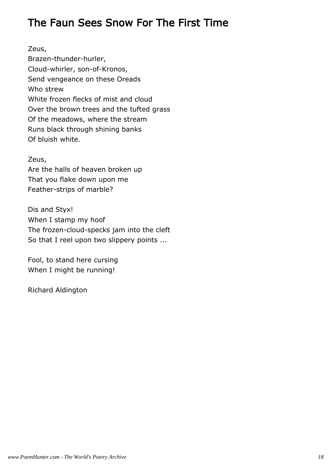### The Faun Sees Snow For The First Time

Zeus, Brazen-thunder-hurler, Cloud-whirler, son-of-Kronos, Send vengeance on these Oreads Who strew White frozen flecks of mist and cloud Over the brown trees and the tufted grass Of the meadows, where the stream Runs black through shining banks Of bluish white.

#### Zeus,

Are the halls of heaven broken up That you flake down upon me Feather-strips of marble?

Dis and Styx! When I stamp my hoof The frozen-cloud-specks jam into the cleft So that I reel upon two slippery points ...

Fool, to stand here cursing When I might be running!